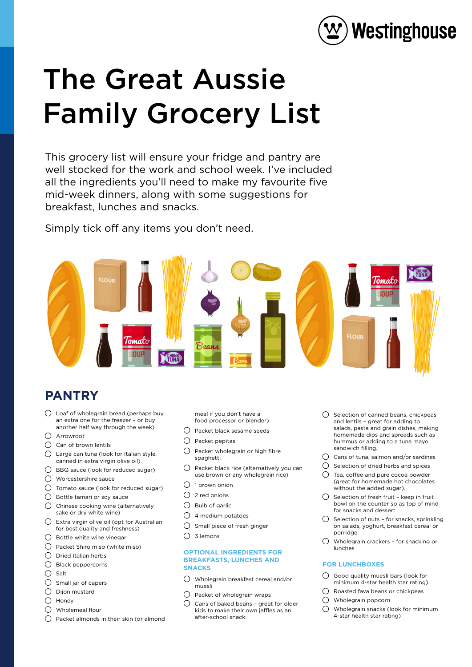

# The Great Aussie Family Grocery List

This grocery list will ensure your fridge and pantry are well stocked for the work and school week. I've included all the ingredients you'll need to make my favourite five mid-week dinners, along with some suggestions for breakfast, lunches and snacks.

Simply tick off any items you don't need.



## **PANTRY**

- Loaf of wholegrain bread (perhaps buy an extra one for the freezer – or buy another half way through the week)
- Arrowroot
- $\bigcirc$  Can of brown lentils
- Large can tuna (look for Italian style, canned in extra virgin olive oil)
- BBQ sauce (look for reduced sugar)
- Worcestershire sauce
- Tomato sauce (look for reduced sugar)
- Bottle tamari or soy sauce
- $\bigcirc$  Chinese cooking wine (alternatively sake or dry white wine)
- $\bigcirc$  Extra virgin olive oil (opt for Australian for best quality and freshness)
- $\bigcap$  Bottle white wine vinegar
- $\bigcirc$  Packet Shiro miso (white miso)
- $\bigcirc$  Dried Italian herbs
- $O$  Black peppercorns
- $O$  Salt
- $\bigcirc$  Small jar of capers
- $\bigcirc$  Dijon mustard
- $\bigcirc$  Honey
- Wholemeal flour
- $\bigcap$  Packet almonds in their skin (or almond

meal if you don't have a food processor or blender)

- $\bigcirc$  Packet black sesame seeds
- $\bigcirc$  Packet pepitas
- $\bigcirc$  Packet wholegrain or high fibre spaghetti
- $\bigcirc$  Packet black rice (alternatively you can use brown or any wholegrain rice)
- $\bigcirc$  1 brown onion
- $\bigcap$  2 red onions
- $\bigcirc$  Bulb of garlic
- $\bigcirc$  4 medium potatoes
- $\bigcap$  Small piece of fresh ginger
- $\bigcap$  3 lemons

#### **OPTIONAL INGREDIENTS FOR BREAKFASTS, LUNCHES AND SNACKS**

- Wholegrain breakfast cereal and/or muesli
- $\bigcirc$  Packet of wholegrain wraps
- $\bigcap$  Cans of baked beans great for older kids to make their own jaffles as an after-school snack.
- $\bigcap$  Selection of canned beans, chickpeas and lentils – great for adding to salads, pasta and grain dishes, making homemade dips and spreads such as hummus or adding to a tuna mayo sandwich filling.
- $\bigcirc$  Cans of tuna, salmon and/or sardines
- $\bigcap$  Selection of dried herbs and spices
- Tea, coffee and pure cocoa powder (great for homemade hot chocolates without the added sugar).
- $\bigcap$  Selection of fresh fruit keep in fruit bowl on the counter so as top of mind for snacks and dessert
- $\bigcirc$  Selection of nuts for snacks, sprinkling on salads, yoghurt, breakfast cereal or porridge.
- Wholegrain crackers for snacking or lunches

#### **FOR LUNCHBOXES**

- $\bigcirc$  Good quality muesli bars (look for minimum 4-star health star rating)
- $\bigcap$  Roasted fava beans or chickpeas
- Wholegrain popcorn
- Wholegrain snacks (look for minimum 4-star health star rating)